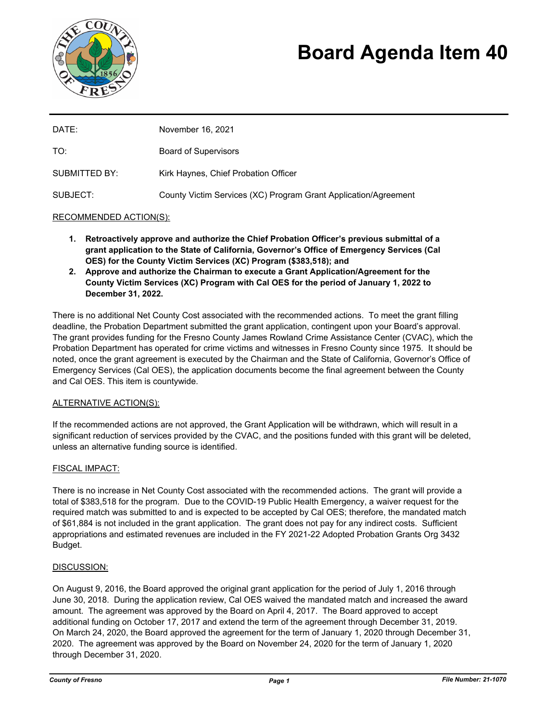

# **Board Agenda Item 40**

| DATE:         | November 16, 2021                                               |
|---------------|-----------------------------------------------------------------|
| TO:           | <b>Board of Supervisors</b>                                     |
| SUBMITTED BY: | Kirk Haynes, Chief Probation Officer                            |
| SUBJECT:      | County Victim Services (XC) Program Grant Application/Agreement |

### RECOMMENDED ACTION(S):

- **1. Retroactively approve and authorize the Chief Probation Officer's previous submittal of a grant application to the State of California, Governor's Office of Emergency Services (Cal OES) for the County Victim Services (XC) Program (\$383,518); and**
- **2. Approve and authorize the Chairman to execute a Grant Application/Agreement for the County Victim Services (XC) Program with Cal OES for the period of January 1, 2022 to December 31, 2022.**

There is no additional Net County Cost associated with the recommended actions. To meet the grant filling deadline, the Probation Department submitted the grant application, contingent upon your Board's approval. The grant provides funding for the Fresno County James Rowland Crime Assistance Center (CVAC), which the Probation Department has operated for crime victims and witnesses in Fresno County since 1975. It should be noted, once the grant agreement is executed by the Chairman and the State of California, Governor's Office of Emergency Services (Cal OES), the application documents become the final agreement between the County and Cal OES. This item is countywide.

#### ALTERNATIVE ACTION(S):

If the recommended actions are not approved, the Grant Application will be withdrawn, which will result in a significant reduction of services provided by the CVAC, and the positions funded with this grant will be deleted, unless an alternative funding source is identified.

## FISCAL IMPACT:

There is no increase in Net County Cost associated with the recommended actions. The grant will provide a total of \$383,518 for the program. Due to the COVID-19 Public Health Emergency, a waiver request for the required match was submitted to and is expected to be accepted by Cal OES; therefore, the mandated match of \$61,884 is not included in the grant application. The grant does not pay for any indirect costs. Sufficient appropriations and estimated revenues are included in the FY 2021-22 Adopted Probation Grants Org 3432 Budget.

#### DISCUSSION:

On August 9, 2016, the Board approved the original grant application for the period of July 1, 2016 through June 30, 2018. During the application review, Cal OES waived the mandated match and increased the award amount. The agreement was approved by the Board on April 4, 2017. The Board approved to accept additional funding on October 17, 2017 and extend the term of the agreement through December 31, 2019. On March 24, 2020, the Board approved the agreement for the term of January 1, 2020 through December 31, 2020. The agreement was approved by the Board on November 24, 2020 for the term of January 1, 2020 through December 31, 2020.